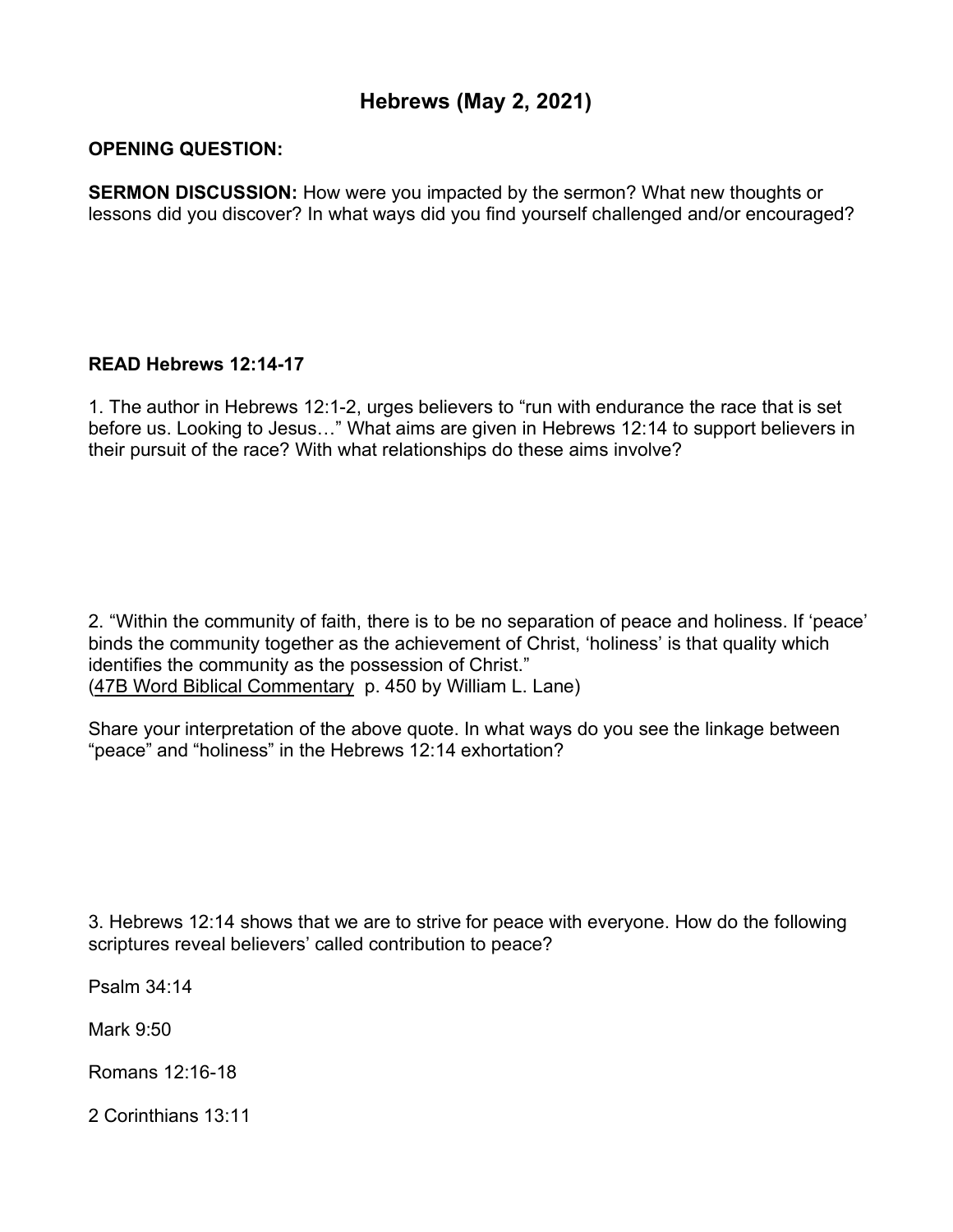## **Hebrews (May 2, 2021)**

## **OPENING QUESTION:**

**SERMON DISCUSSION:** How were you impacted by the sermon? What new thoughts or lessons did you discover? In what ways did you find yourself challenged and/or encouraged?

## **READ Hebrews 12:14-17**

1. The author in Hebrews 12:1-2, urges believers to "run with endurance the race that is set before us. Looking to Jesus…" What aims are given in Hebrews 12:14 to support believers in their pursuit of the race? With what relationships do these aims involve?

2. "Within the community of faith, there is to be no separation of peace and holiness. If 'peace' binds the community together as the achievement of Christ, 'holiness' is that quality which identifies the community as the possession of Christ." (47B Word Biblical Commentary p. 450 by William L. Lane)

Share your interpretation of the above quote. In what ways do you see the linkage between "peace" and "holiness" in the Hebrews 12:14 exhortation?

3. Hebrews 12:14 shows that we are to strive for peace with everyone. How do the following scriptures reveal believers' called contribution to peace?

Psalm 34:14

Mark 9:50

Romans 12:16-18

2 Corinthians 13:11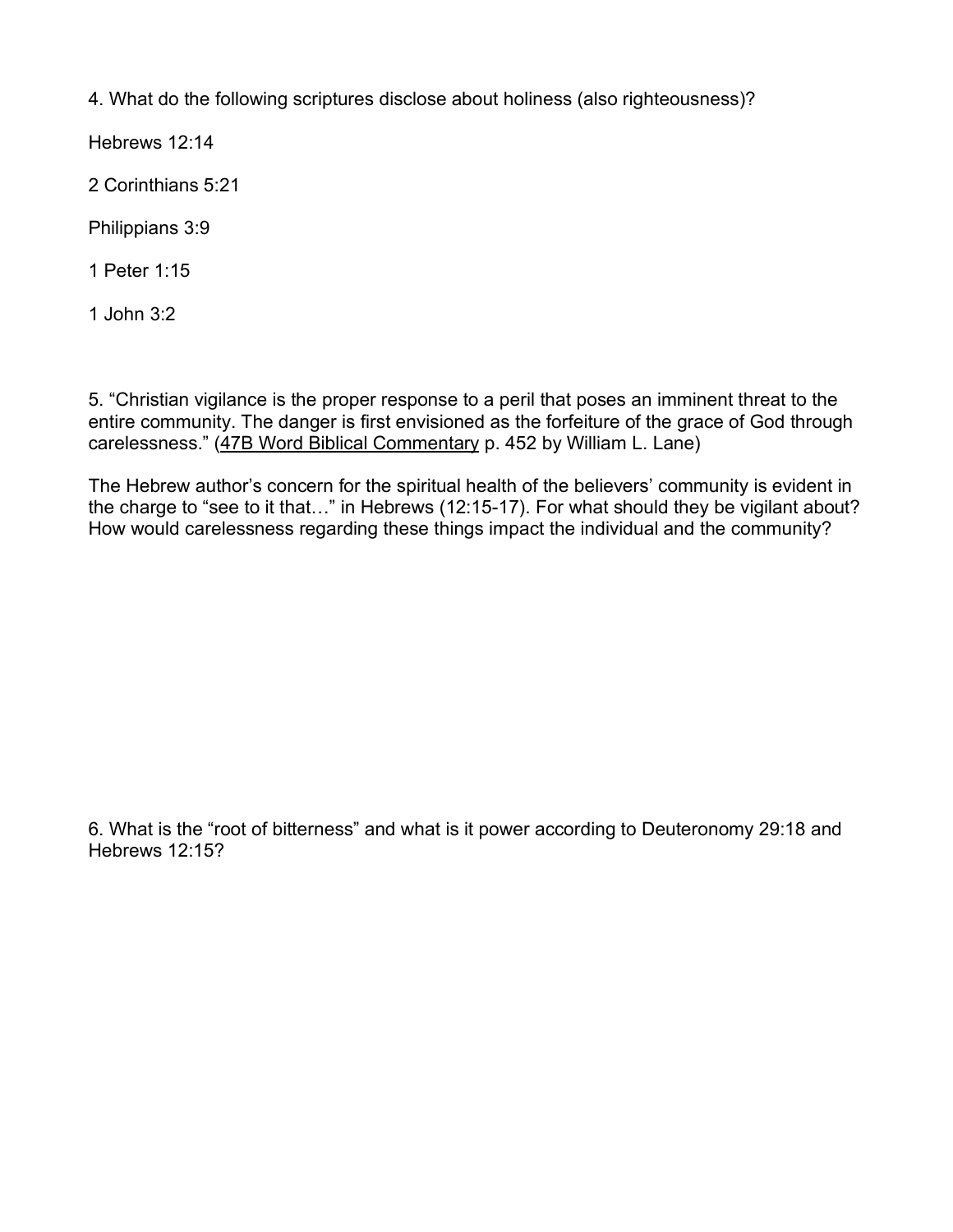4. What do the following scriptures disclose about holiness (also righteousness)?

Hebrews 12:14

2 Corinthians 5:21

Philippians 3:9

1 Peter 1:15

1 John 3:2

5. "Christian vigilance is the proper response to a peril that poses an imminent threat to the entire community. The danger is first envisioned as the forfeiture of the grace of God through carelessness." (47B Word Biblical Commentary p. 452 by William L. Lane)

The Hebrew author's concern for the spiritual health of the believers' community is evident in the charge to "see to it that…" in Hebrews (12:15-17). For what should they be vigilant about? How would carelessness regarding these things impact the individual and the community?

6. What is the "root of bitterness" and what is it power according to Deuteronomy 29:18 and Hebrews 12:15?